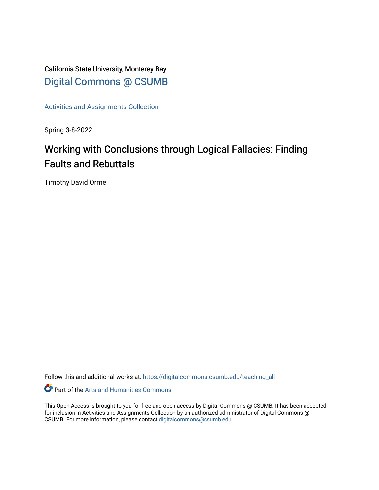California State University, Monterey Bay [Digital Commons @ CSUMB](https://digitalcommons.csumb.edu/)

[Activities and Assignments Collection](https://digitalcommons.csumb.edu/teaching_all) 

Spring 3-8-2022

## Working with Conclusions through Logical Fallacies: Finding Faults and Rebuttals

Timothy David Orme

Follow this and additional works at: [https://digitalcommons.csumb.edu/teaching\\_all](https://digitalcommons.csumb.edu/teaching_all?utm_source=digitalcommons.csumb.edu%2Fteaching_all%2F11&utm_medium=PDF&utm_campaign=PDFCoverPages) 

Part of the [Arts and Humanities Commons](http://network.bepress.com/hgg/discipline/438?utm_source=digitalcommons.csumb.edu%2Fteaching_all%2F11&utm_medium=PDF&utm_campaign=PDFCoverPages) 

This Open Access is brought to you for free and open access by Digital Commons @ CSUMB. It has been accepted for inclusion in Activities and Assignments Collection by an authorized administrator of Digital Commons @ CSUMB. For more information, please contact [digitalcommons@csumb.edu](mailto:digitalcommons@csumb.edu).